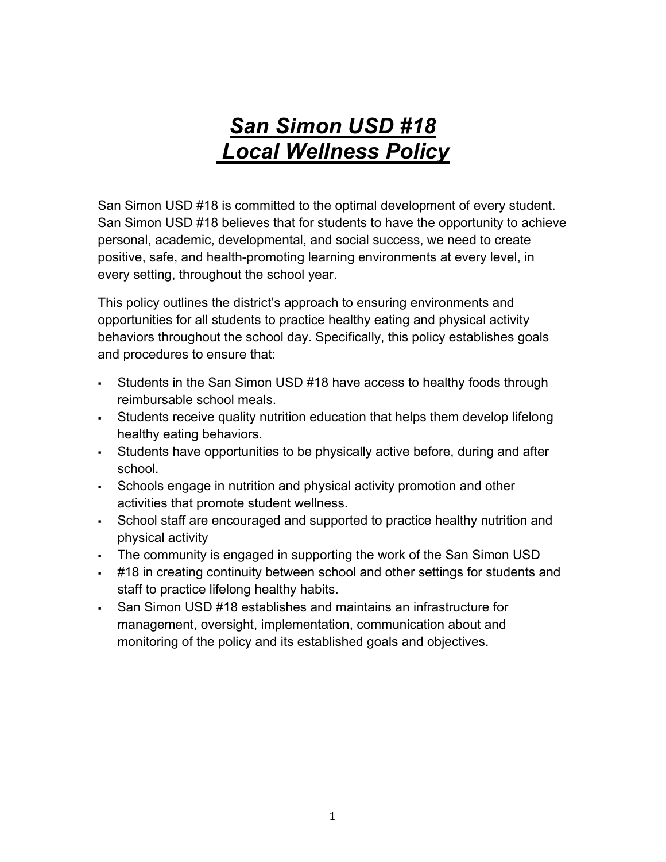# *San Simon USD #18 Local Wellness Policy*

San Simon USD #18 is committed to the optimal development of every student. San Simon USD #18 believes that for students to have the opportunity to achieve personal, academic, developmental, and social success, we need to create positive, safe, and health-promoting learning environments at every level, in every setting, throughout the school year.

This policy outlines the district's approach to ensuring environments and opportunities for all students to practice healthy eating and physical activity behaviors throughout the school day. Specifically, this policy establishes goals and procedures to ensure that:

- Students in the San Simon USD #18 have access to healthy foods through reimbursable school meals.
- § Students receive quality nutrition education that helps them develop lifelong healthy eating behaviors.
- § Students have opportunities to be physically active before, during and after school.
- § Schools engage in nutrition and physical activity promotion and other activities that promote student wellness.
- School staff are encouraged and supported to practice healthy nutrition and physical activity
- The community is engaged in supporting the work of the San Simon USD
- § #18 in creating continuity between school and other settings for students and staff to practice lifelong healthy habits.
- San Simon USD #18 establishes and maintains an infrastructure for management, oversight, implementation, communication about and monitoring of the policy and its established goals and objectives.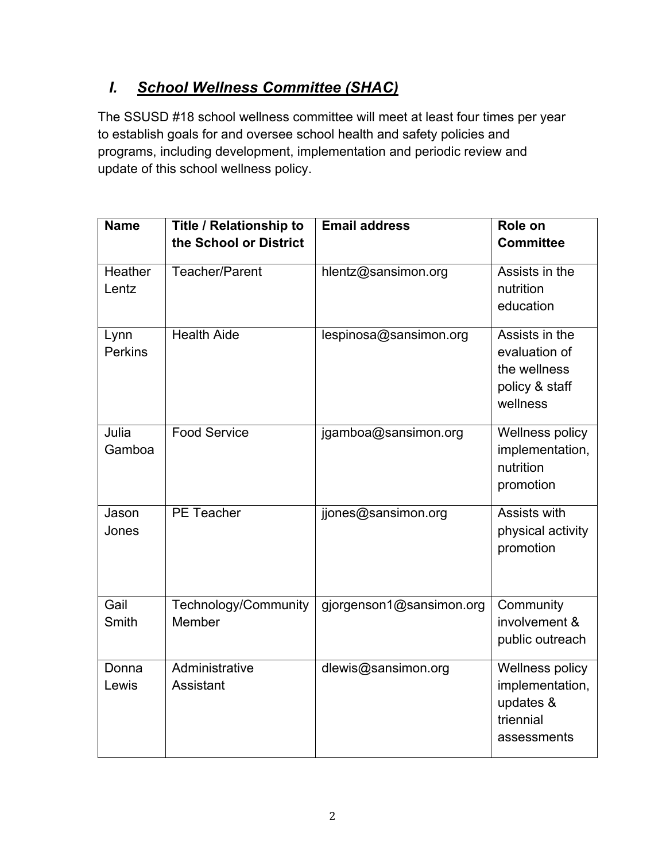# *I. School Wellness Committee (SHAC)*

The SSUSD #18 school wellness committee will meet at least four times per year to establish goals for and oversee school health and safety policies and programs, including development, implementation and periodic review and update of this school wellness policy.

| <b>Name</b>            | <b>Title / Relationship to</b><br>the School or District | <b>Email address</b>     | Role on<br><b>Committee</b>                                                   |
|------------------------|----------------------------------------------------------|--------------------------|-------------------------------------------------------------------------------|
| Heather<br>Lentz       | Teacher/Parent                                           | hlentz@sansimon.org      | Assists in the<br>nutrition<br>education                                      |
| Lynn<br><b>Perkins</b> | <b>Health Aide</b>                                       | lespinosa@sansimon.org   | Assists in the<br>evaluation of<br>the wellness<br>policy & staff<br>wellness |
| Julia<br>Gamboa        | <b>Food Service</b>                                      | jgamboa@sansimon.org     | Wellness policy<br>implementation,<br>nutrition<br>promotion                  |
| Jason<br>Jones         | <b>PE Teacher</b>                                        | jjones@sansimon.org      | Assists with<br>physical activity<br>promotion                                |
| Gail<br>Smith          | Technology/Community<br>Member                           | gjorgenson1@sansimon.org | Community<br>involvement &<br>public outreach                                 |
| Donna<br>Lewis         | Administrative<br>Assistant                              | dlewis@sansimon.org      | Wellness policy<br>implementation,<br>updates &<br>triennial<br>assessments   |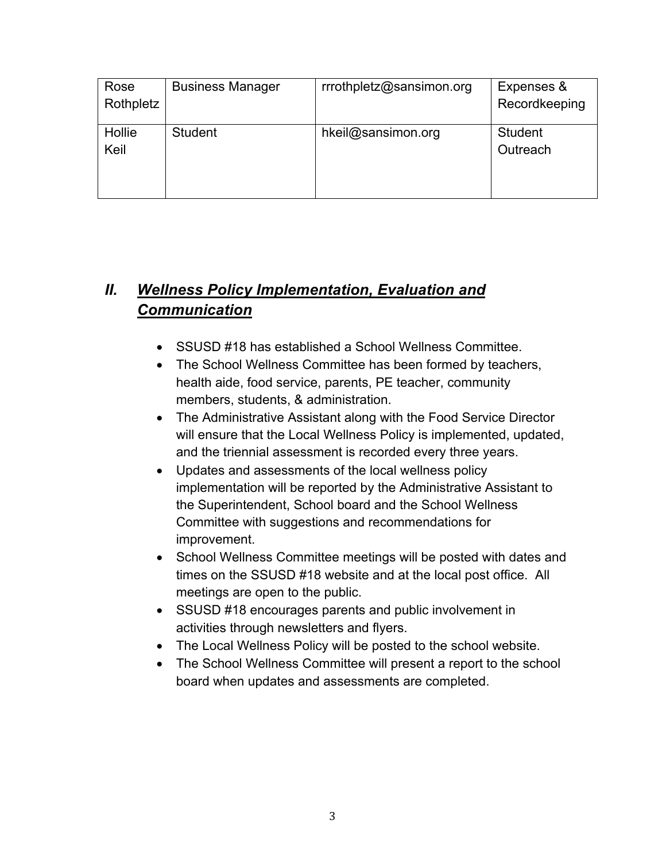| Rose           | <b>Business Manager</b> | rrrothpletz@sansimon.org | Expenses &                 |
|----------------|-------------------------|--------------------------|----------------------------|
| Rothpletz      |                         |                          | Recordkeeping              |
| Hollie<br>Keil | <b>Student</b>          | hkeil@sansimon.org       | <b>Student</b><br>Outreach |

# *II. Wellness Policy Implementation, Evaluation and Communication*

- SSUSD #18 has established a School Wellness Committee.
- The School Wellness Committee has been formed by teachers, health aide, food service, parents, PE teacher, community members, students, & administration.
- The Administrative Assistant along with the Food Service Director will ensure that the Local Wellness Policy is implemented, updated, and the triennial assessment is recorded every three years.
- Updates and assessments of the local wellness policy implementation will be reported by the Administrative Assistant to the Superintendent, School board and the School Wellness Committee with suggestions and recommendations for improvement.
- School Wellness Committee meetings will be posted with dates and times on the SSUSD #18 website and at the local post office. All meetings are open to the public.
- SSUSD #18 encourages parents and public involvement in activities through newsletters and flyers.
- The Local Wellness Policy will be posted to the school website.
- The School Wellness Committee will present a report to the school board when updates and assessments are completed.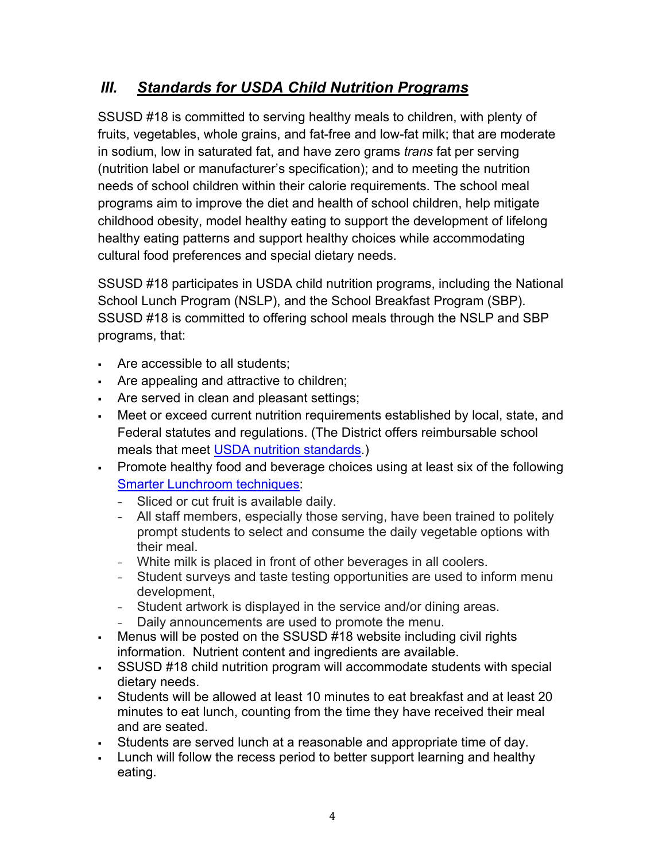## *III. Standards for USDA Child Nutrition Programs*

SSUSD #18 is committed to serving healthy meals to children, with plenty of fruits, vegetables, whole grains, and fat-free and low-fat milk; that are moderate in sodium, low in saturated fat, and have zero grams *trans* fat per serving (nutrition label or manufacturer's specification); and to meeting the nutrition needs of school children within their calorie requirements. The school meal programs aim to improve the diet and health of school children, help mitigate childhood obesity, model healthy eating to support the development of lifelong healthy eating patterns and support healthy choices while accommodating cultural food preferences and special dietary needs.

SSUSD #18 participates in USDA child nutrition programs, including the National School Lunch Program (NSLP), and the School Breakfast Program (SBP). SSUSD #18 is committed to offering school meals through the NSLP and SBP programs, that:

- Are accessible to all students;
- Are appealing and attractive to children;
- Are served in clean and pleasant settings;
- Meet or exceed current nutrition requirements established by local, state, and Federal statutes and regulations. (The District offers reimbursable school meals that meet USDA nutrition standards.)
- Promote healthy food and beverage choices using at least six of the following Smarter Lunchroom techniques:
	- <sup>−</sup> Sliced or cut fruit is available daily.
	- <sup>−</sup> All staff members, especially those serving, have been trained to politely prompt students to select and consume the daily vegetable options with their meal.
	- <sup>−</sup> White milk is placed in front of other beverages in all coolers.
	- <sup>−</sup> Student surveys and taste testing opportunities are used to inform menu development,
	- <sup>−</sup> Student artwork is displayed in the service and/or dining areas.
	- <sup>−</sup> Daily announcements are used to promote the menu.
- Menus will be posted on the SSUSD #18 website including civil rights information. Nutrient content and ingredients are available.
- SSUSD #18 child nutrition program will accommodate students with special dietary needs.
- § Students will be allowed at least 10 minutes to eat breakfast and at least 20 minutes to eat lunch, counting from the time they have received their meal and are seated.
- Students are served lunch at a reasonable and appropriate time of day.
- § Lunch will follow the recess period to better support learning and healthy eating.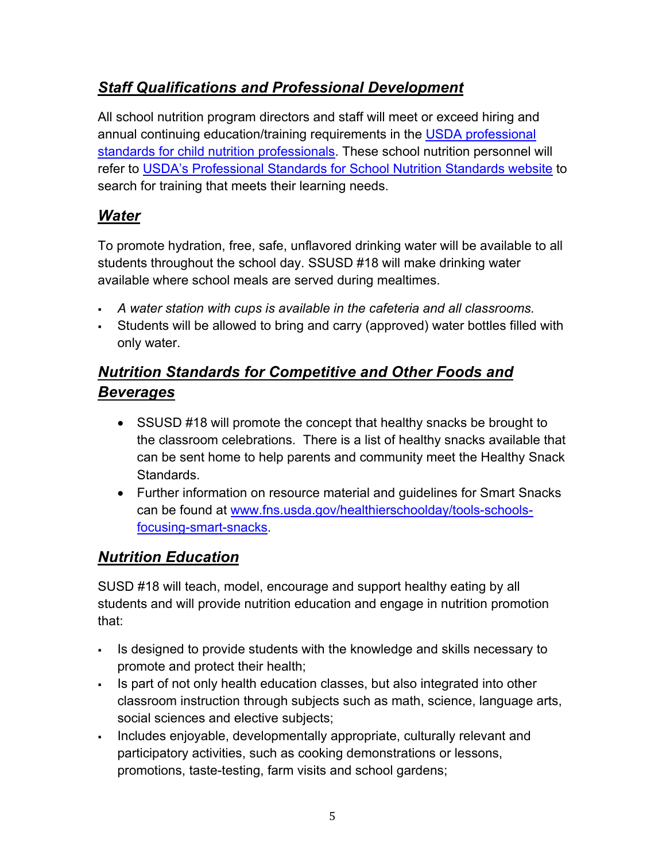## *Staff Qualifications and Professional Development*

All school nutrition program directors and staff will meet or exceed hiring and annual continuing education/training requirements in the USDA professional standards for child nutrition professionals. These school nutrition personnel will refer to USDA's Professional Standards for School Nutrition Standards website to search for training that meets their learning needs.

## *Water*

To promote hydration, free, safe, unflavored drinking water will be available to all students throughout the school day. SSUSD #18 will make drinking water available where school meals are served during mealtimes.

- § *A water station with cups is available in the cafeteria and all classrooms.*
- Students will be allowed to bring and carry (approved) water bottles filled with only water.

# *Nutrition Standards for Competitive and Other Foods and Beverages*

- SSUSD #18 will promote the concept that healthy snacks be brought to the classroom celebrations. There is a list of healthy snacks available that can be sent home to help parents and community meet the Healthy Snack Standards.
- Further information on resource material and guidelines for Smart Snacks can be found at www.fns.usda.gov/healthierschoolday/tools-schoolsfocusing-smart-snacks.

## *Nutrition Education*

SUSD #18 will teach, model, encourage and support healthy eating by all students and will provide nutrition education and engage in nutrition promotion that:

- Is designed to provide students with the knowledge and skills necessary to promote and protect their health;
- Is part of not only health education classes, but also integrated into other classroom instruction through subjects such as math, science, language arts, social sciences and elective subjects;
- § Includes enjoyable, developmentally appropriate, culturally relevant and participatory activities, such as cooking demonstrations or lessons, promotions, taste-testing, farm visits and school gardens;